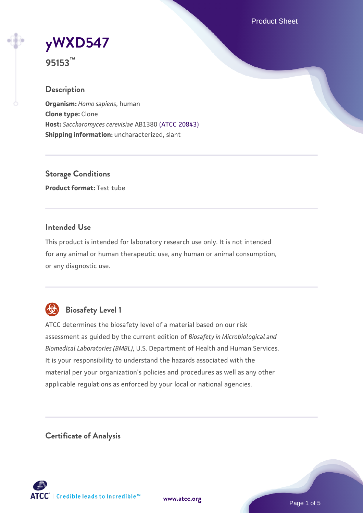Product Sheet

**[yWXD547](https://www.atcc.org/products/95153)**

**95153™**

## **Description**

**Organism:** *Homo sapiens*, human **Clone type:** Clone **Host:** *Saccharomyces cerevisiae* AB1380 [\(ATCC 20843\)](https://www.atcc.org/products/20843) **Shipping information:** uncharacterized, slant

**Storage Conditions Product format:** Test tube

#### **Intended Use**

This product is intended for laboratory research use only. It is not intended for any animal or human therapeutic use, any human or animal consumption, or any diagnostic use.



## **Biosafety Level 1**

ATCC determines the biosafety level of a material based on our risk assessment as guided by the current edition of *Biosafety in Microbiological and Biomedical Laboratories (BMBL)*, U.S. Department of Health and Human Services. It is your responsibility to understand the hazards associated with the material per your organization's policies and procedures as well as any other applicable regulations as enforced by your local or national agencies.

**Certificate of Analysis**

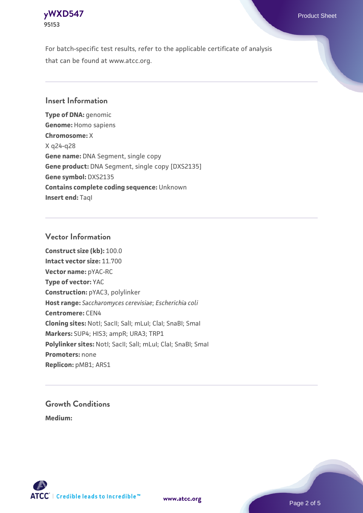

For batch-specific test results, refer to the applicable certificate of analysis that can be found at www.atcc.org.

#### **Insert Information**

**Type of DNA:** genomic **Genome:** Homo sapiens **Chromosome:** X X q24-q28 **Gene name:** DNA Segment, single copy **Gene product:** DNA Segment, single copy [DXS2135] **Gene symbol:** DXS2135 **Contains complete coding sequence:** Unknown **Insert end: Tagl** 

#### **Vector Information**

**Construct size (kb):** 100.0 **Intact vector size:** 11.700 **Vector name:** pYAC-RC **Type of vector:** YAC **Construction:** pYAC3, polylinker **Host range:** *Saccharomyces cerevisiae*; *Escherichia coli* **Centromere:** CEN4 **Cloning sites:** NotI; SacII; SalI; mLuI; ClaI; SnaBI; SmaI **Markers:** SUP4; HIS3; ampR; URA3; TRP1 Polylinker sites: Notl; SacII; SalI; mLuI; ClaI; SnaBI; SmaI **Promoters:** none **Replicon:** pMB1; ARS1

# **Growth Conditions**

**Medium:** 



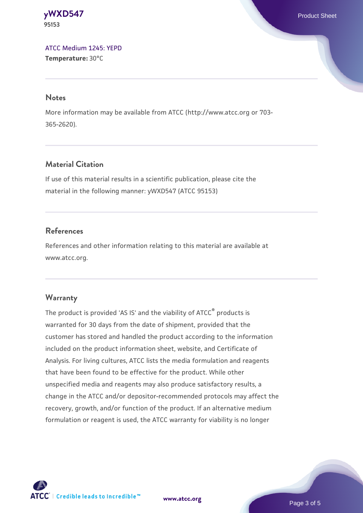**[yWXD547](https://www.atcc.org/products/95153)** Product Sheet **95153**

[ATCC Medium 1245: YEPD](https://www.atcc.org/-/media/product-assets/documents/microbial-media-formulations/1/2/4/5/atcc-medium-1245.pdf?rev=705ca55d1b6f490a808a965d5c072196) **Temperature:** 30°C

#### **Notes**

More information may be available from ATCC (http://www.atcc.org or 703- 365-2620).

## **Material Citation**

If use of this material results in a scientific publication, please cite the material in the following manner: yWXD547 (ATCC 95153)

#### **References**

References and other information relating to this material are available at www.atcc.org.

#### **Warranty**

The product is provided 'AS IS' and the viability of ATCC® products is warranted for 30 days from the date of shipment, provided that the customer has stored and handled the product according to the information included on the product information sheet, website, and Certificate of Analysis. For living cultures, ATCC lists the media formulation and reagents that have been found to be effective for the product. While other unspecified media and reagents may also produce satisfactory results, a change in the ATCC and/or depositor-recommended protocols may affect the recovery, growth, and/or function of the product. If an alternative medium formulation or reagent is used, the ATCC warranty for viability is no longer



**[www.atcc.org](http://www.atcc.org)**

Page 3 of 5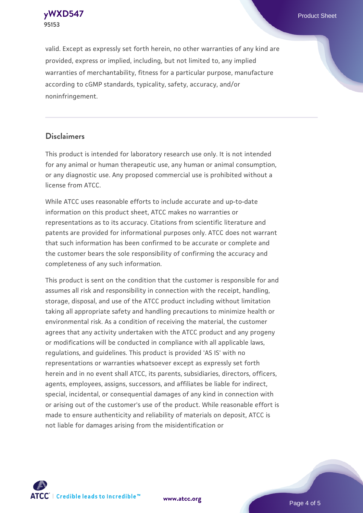**[yWXD547](https://www.atcc.org/products/95153)** Product Sheet **95153**

valid. Except as expressly set forth herein, no other warranties of any kind are provided, express or implied, including, but not limited to, any implied warranties of merchantability, fitness for a particular purpose, manufacture according to cGMP standards, typicality, safety, accuracy, and/or noninfringement.

#### **Disclaimers**

This product is intended for laboratory research use only. It is not intended for any animal or human therapeutic use, any human or animal consumption, or any diagnostic use. Any proposed commercial use is prohibited without a license from ATCC.

While ATCC uses reasonable efforts to include accurate and up-to-date information on this product sheet, ATCC makes no warranties or representations as to its accuracy. Citations from scientific literature and patents are provided for informational purposes only. ATCC does not warrant that such information has been confirmed to be accurate or complete and the customer bears the sole responsibility of confirming the accuracy and completeness of any such information.

This product is sent on the condition that the customer is responsible for and assumes all risk and responsibility in connection with the receipt, handling, storage, disposal, and use of the ATCC product including without limitation taking all appropriate safety and handling precautions to minimize health or environmental risk. As a condition of receiving the material, the customer agrees that any activity undertaken with the ATCC product and any progeny or modifications will be conducted in compliance with all applicable laws, regulations, and guidelines. This product is provided 'AS IS' with no representations or warranties whatsoever except as expressly set forth herein and in no event shall ATCC, its parents, subsidiaries, directors, officers, agents, employees, assigns, successors, and affiliates be liable for indirect, special, incidental, or consequential damages of any kind in connection with or arising out of the customer's use of the product. While reasonable effort is made to ensure authenticity and reliability of materials on deposit, ATCC is not liable for damages arising from the misidentification or



**[www.atcc.org](http://www.atcc.org)**

Page 4 of 5